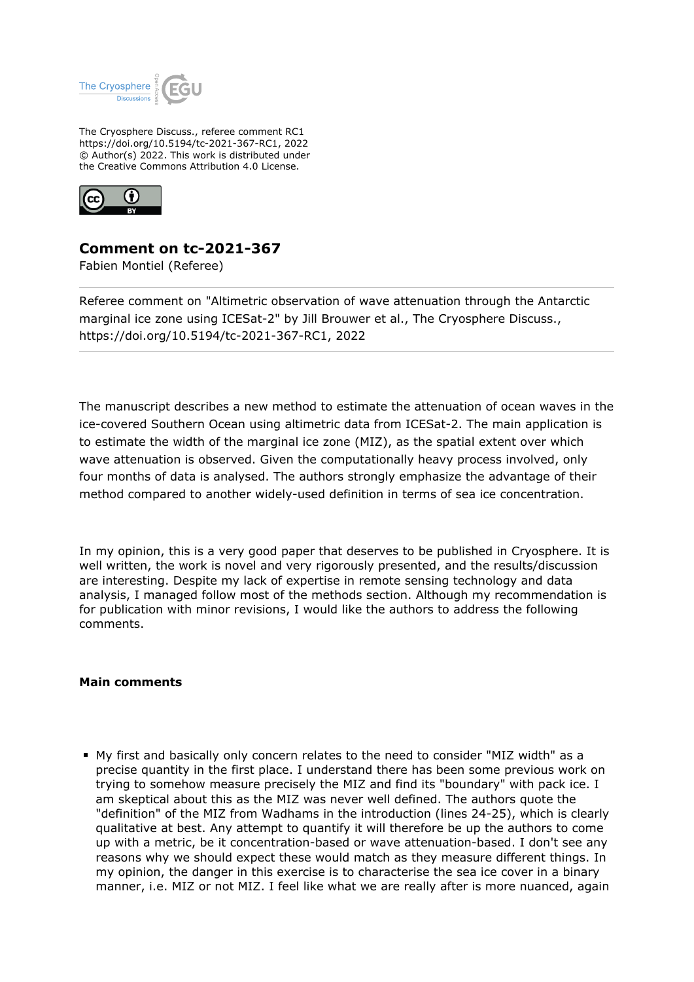

The Cryosphere Discuss., referee comment RC1 https://doi.org/10.5194/tc-2021-367-RC1, 2022 © Author(s) 2022. This work is distributed under the Creative Commons Attribution 4.0 License.



## **Comment on tc-2021-367**

Fabien Montiel (Referee)

Referee comment on "Altimetric observation of wave attenuation through the Antarctic marginal ice zone using ICESat-2" by Jill Brouwer et al., The Cryosphere Discuss., https://doi.org/10.5194/tc-2021-367-RC1, 2022

The manuscript describes a new method to estimate the attenuation of ocean waves in the ice-covered Southern Ocean using altimetric data from ICESat-2. The main application is to estimate the width of the marginal ice zone (MIZ), as the spatial extent over which wave attenuation is observed. Given the computationally heavy process involved, only four months of data is analysed. The authors strongly emphasize the advantage of their method compared to another widely-used definition in terms of sea ice concentration.

In my opinion, this is a very good paper that deserves to be published in Cryosphere. It is well written, the work is novel and very rigorously presented, and the results/discussion are interesting. Despite my lack of expertise in remote sensing technology and data analysis, I managed follow most of the methods section. Although my recommendation is for publication with minor revisions, I would like the authors to address the following comments.

## **Main comments**

My first and basically only concern relates to the need to consider "MIZ width" as a precise quantity in the first place. I understand there has been some previous work on trying to somehow measure precisely the MIZ and find its "boundary" with pack ice. I am skeptical about this as the MIZ was never well defined. The authors quote the "definition" of the MIZ from Wadhams in the introduction (lines 24-25), which is clearly qualitative at best. Any attempt to quantify it will therefore be up the authors to come up with a metric, be it concentration-based or wave attenuation-based. I don't see any reasons why we should expect these would match as they measure different things. In my opinion, the danger in this exercise is to characterise the sea ice cover in a binary manner, i.e. MIZ or not MIZ. I feel like what we are really after is more nuanced, again